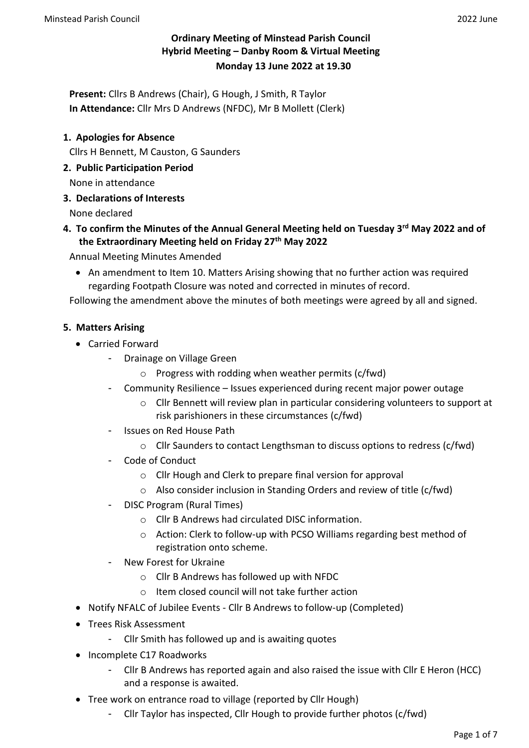# **Ordinary Meeting of Minstead Parish Council Hybrid Meeting – Danby Room & Virtual Meeting Monday 13 June 2022 at 19.30**

**Present:** Cllrs B Andrews (Chair), G Hough, J Smith, R Taylor **In Attendance:** Cllr Mrs D Andrews (NFDC), Mr B Mollett (Clerk)

## **1. Apologies for Absence**

Cllrs H Bennett, M Causton, G Saunders

**2. Public Participation Period**

None in attendance

**3. Declarations of Interests**

None declared

## **4. To confirm the Minutes of the Annual General Meeting held on Tuesday 3rd May 2022 and of the Extraordinary Meeting held on Friday 27th May 2022**

Annual Meeting Minutes Amended

• An amendment to Item 10. Matters Arising showing that no further action was required regarding Footpath Closure was noted and corrected in minutes of record.

Following the amendment above the minutes of both meetings were agreed by all and signed.

#### **5. Matters Arising**

- Carried Forward
	- Drainage on Village Green
		- o Progress with rodding when weather permits (c/fwd)
	- Community Resilience Issues experienced during recent major power outage
		- o Cllr Bennett will review plan in particular considering volunteers to support at risk parishioners in these circumstances (c/fwd)
	- Issues on Red House Path
		- $\circ$  Cllr Saunders to contact Lengthsman to discuss options to redress (c/fwd)
	- Code of Conduct
		- o Cllr Hough and Clerk to prepare final version for approval
		- o Also consider inclusion in Standing Orders and review of title (c/fwd)
	- DISC Program (Rural Times)
		- o Cllr B Andrews had circulated DISC information.
		- o Action: Clerk to follow-up with PCSO Williams regarding best method of registration onto scheme.
	- New Forest for Ukraine
		- o Cllr B Andrews has followed up with NFDC
		- o Item closed council will not take further action
- Notify NFALC of Jubilee Events Cllr B Andrews to follow-up (Completed)
- Trees Risk Assessment
	- Cllr Smith has followed up and is awaiting quotes
- Incomplete C17 Roadworks
	- Cllr B Andrews has reported again and also raised the issue with Cllr E Heron (HCC) and a response is awaited.
- Tree work on entrance road to village (reported by Cllr Hough)
	- Cllr Taylor has inspected, Cllr Hough to provide further photos (c/fwd)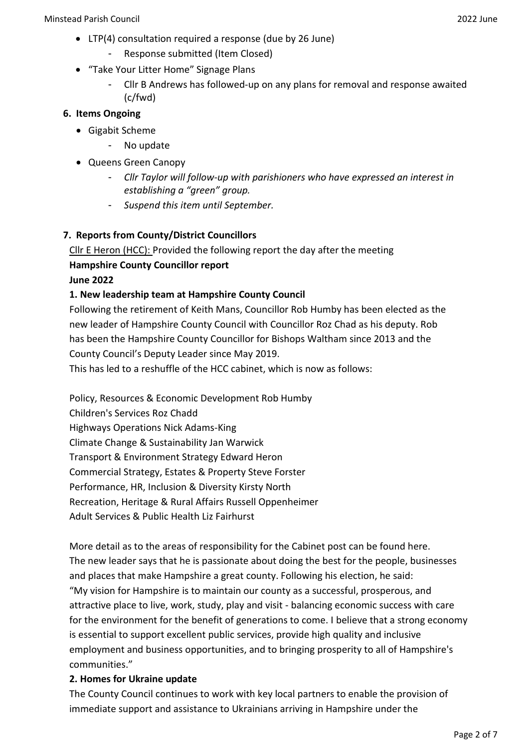- LTP(4) consultation required a response (due by 26 June)
	- Response submitted (Item Closed)
- "Take Your Litter Home" Signage Plans
	- Cllr B Andrews has followed-up on any plans for removal and response awaited (c/fwd)

# **6. Items Ongoing**

- Gigabit Scheme
	- No update
- Queens Green Canopy
	- *Cllr Taylor will follow-up with parishioners who have expressed an interest in establishing a "green" group.*
	- *Suspend this item until September.*

# **7. Reports from County/District Councillors**

Cllr E Heron (HCC): Provided the following report the day after the meeting **Hampshire County Councillor report**

**June 2022**

# **1. New leadership team at Hampshire County Council**

Following the retirement of Keith Mans, Councillor Rob Humby has been elected as the new leader of Hampshire County Council with Councillor Roz Chad as his deputy. Rob has been the Hampshire County Councillor for Bishops Waltham since 2013 and the County Council's Deputy Leader since May 2019.

This has led to a reshuffle of the HCC cabinet, which is now as follows:

Policy, Resources & Economic Development Rob Humby Children's Services Roz Chadd Highways Operations Nick Adams-King Climate Change & Sustainability Jan Warwick Transport & Environment Strategy Edward Heron Commercial Strategy, Estates & Property Steve Forster Performance, HR, Inclusion & Diversity Kirsty North Recreation, Heritage & Rural Affairs Russell Oppenheimer Adult Services & Public Health Liz Fairhurst

More detail as to the areas of responsibility for the Cabinet post can be found here. The new leader says that he is passionate about doing the best for the people, businesses and places that make Hampshire a great county. Following his election, he said: "My vision for Hampshire is to maintain our county as a successful, prosperous, and attractive place to live, work, study, play and visit - balancing economic success with care for the environment for the benefit of generations to come. I believe that a strong economy is essential to support excellent public services, provide high quality and inclusive employment and business opportunities, and to bringing prosperity to all of Hampshire's communities."

# **2. Homes for Ukraine update**

The County Council continues to work with key local partners to enable the provision of immediate support and assistance to Ukrainians arriving in Hampshire under the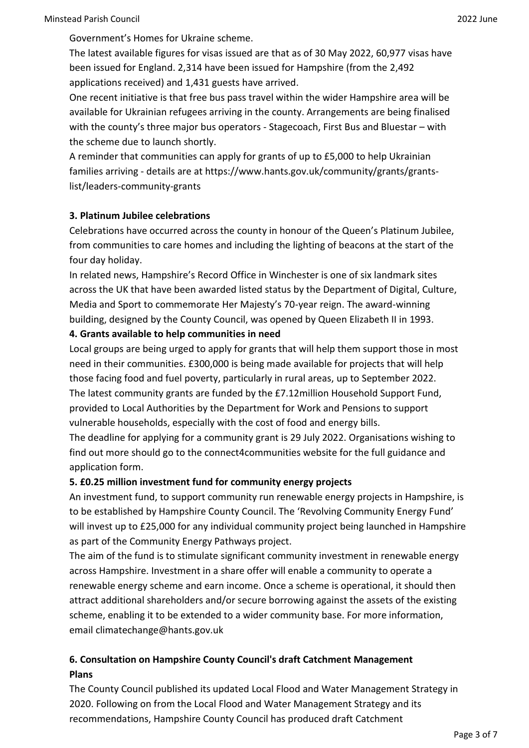Government's Homes for Ukraine scheme.

The latest available figures for visas issued are that as of 30 May 2022, 60,977 visas have been issued for England. 2,314 have been issued for Hampshire (from the 2,492 applications received) and 1,431 guests have arrived.

One recent initiative is that free bus pass travel within the wider Hampshire area will be available for Ukrainian refugees arriving in the county. Arrangements are being finalised with the county's three major bus operators - Stagecoach, First Bus and Bluestar – with the scheme due to launch shortly.

A reminder that communities can apply for grants of up to £5,000 to help Ukrainian families arriving - details are at https://www.hants.gov.uk/community/grants/grantslist/leaders-community-grants

# **3. Platinum Jubilee celebrations**

Celebrations have occurred across the county in honour of the Queen's Platinum Jubilee, from communities to care homes and including the lighting of beacons at the start of the four day holiday.

In related news, Hampshire's Record Office in Winchester is one of six landmark sites across the UK that have been awarded listed status by the Department of Digital, Culture, Media and Sport to commemorate Her Majesty's 70-year reign. The award-winning building, designed by the County Council, was opened by Queen Elizabeth II in 1993.

## **4. Grants available to help communities in need**

Local groups are being urged to apply for grants that will help them support those in most need in their communities. £300,000 is being made available for projects that will help those facing food and fuel poverty, particularly in rural areas, up to September 2022. The latest community grants are funded by the £7.12million Household Support Fund, provided to Local Authorities by the Department for Work and Pensions to support vulnerable households, especially with the cost of food and energy bills.

The deadline for applying for a community grant is 29 July 2022. Organisations wishing to find out more should go to the connect4communities website for the full guidance and application form.

# **5. £0.25 million investment fund for community energy projects**

An investment fund, to support community run renewable energy projects in Hampshire, is to be established by Hampshire County Council. The 'Revolving Community Energy Fund' will invest up to £25,000 for any individual community project being launched in Hampshire as part of the Community Energy Pathways project.

The aim of the fund is to stimulate significant community investment in renewable energy across Hampshire. Investment in a share offer will enable a community to operate a renewable energy scheme and earn income. Once a scheme is operational, it should then attract additional shareholders and/or secure borrowing against the assets of the existing scheme, enabling it to be extended to a wider community base. For more information, email climatechange@hants.gov.uk

# **6. Consultation on Hampshire County Council's draft Catchment Management Plans**

The County Council published its updated Local Flood and Water Management Strategy in 2020. Following on from the Local Flood and Water Management Strategy and its recommendations, Hampshire County Council has produced draft Catchment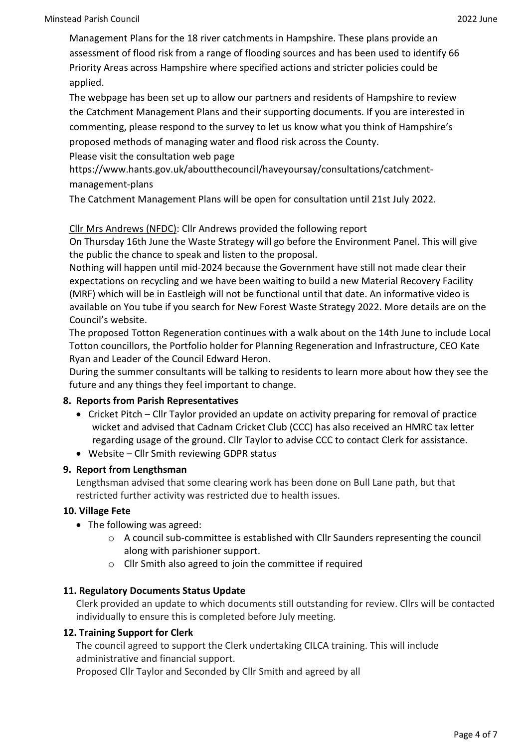Management Plans for the 18 river catchments in Hampshire. These plans provide an assessment of flood risk from a range of flooding sources and has been used to identify 66 Priority Areas across Hampshire where specified actions and stricter policies could be applied.

The webpage has been set up to allow our partners and residents of Hampshire to review the Catchment Management Plans and their supporting documents. If you are interested in commenting, please respond to the survey to let us know what you think of Hampshire's proposed methods of managing water and flood risk across the County.

Please visit the consultation web page

https://www.hants.gov.uk/aboutthecouncil/haveyoursay/consultations/catchmentmanagement-plans

The Catchment Management Plans will be open for consultation until 21st July 2022.

## Cllr Mrs Andrews (NFDC): Cllr Andrews provided the following report

On Thursday 16th June the Waste Strategy will go before the Environment Panel. This will give the public the chance to speak and listen to the proposal.

Nothing will happen until mid-2024 because the Government have still not made clear their expectations on recycling and we have been waiting to build a new Material Recovery Facility (MRF) which will be in Eastleigh will not be functional until that date. An informative video is available on You tube if you search for New Forest Waste Strategy 2022. More details are on the Council's website.

The proposed Totton Regeneration continues with a walk about on the 14th June to include Local Totton councillors, the Portfolio holder for Planning Regeneration and Infrastructure, CEO Kate Ryan and Leader of the Council Edward Heron.

During the summer consultants will be talking to residents to learn more about how they see the future and any things they feel important to change.

### **8. Reports from Parish Representatives**

- Cricket Pitch Cllr Taylor provided an update on activity preparing for removal of practice wicket and advised that Cadnam Cricket Club (CCC) has also received an HMRC tax letter regarding usage of the ground. Cllr Taylor to advise CCC to contact Clerk for assistance.
- Website Cllr Smith reviewing GDPR status

# **9. Report from Lengthsman**

Lengthsman advised that some clearing work has been done on Bull Lane path, but that restricted further activity was restricted due to health issues.

### **10. Village Fete**

- The following was agreed:
	- o A council sub-committee is established with Cllr Saunders representing the council along with parishioner support.
	- o Cllr Smith also agreed to join the committee if required

### **11. Regulatory Documents Status Update**

Clerk provided an update to which documents still outstanding for review. Cllrs will be contacted individually to ensure this is completed before July meeting.

### **12. Training Support for Clerk**

The council agreed to support the Clerk undertaking CILCA training. This will include administrative and financial support.

Proposed Cllr Taylor and Seconded by Cllr Smith and agreed by all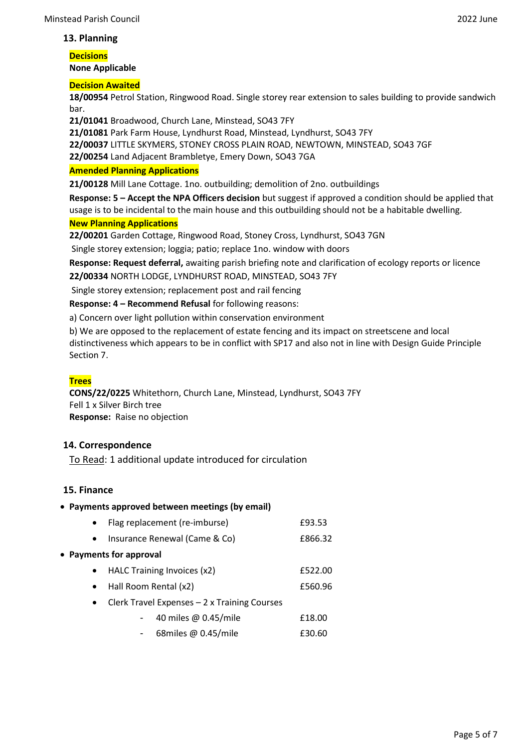#### **13. Planning**

**Decisions None Applicable**

#### **Decision Awaited**

**18/00954** Petrol Station, Ringwood Road. Single storey rear extension to sales building to provide sandwich bar.

**21/01041** Broadwood, Church Lane, Minstead, SO43 7FY

**21/01081** Park Farm House, Lyndhurst Road, Minstead, Lyndhurst, SO43 7FY

**22/00037** LITTLE SKYMERS, STONEY CROSS PLAIN ROAD, NEWTOWN, MINSTEAD, SO43 7GF

**22/00254** Land Adjacent Brambletye, Emery Down, SO43 7GA

#### **Amended Planning Applications**

**21/00128** Mill Lane Cottage. 1no. outbuilding; demolition of 2no. outbuildings

**Response: 5 – Accept the NPA Officers decision** but suggest if approved a condition should be applied that usage is to be incidental to the main house and this outbuilding should not be a habitable dwelling.

# **New Planning Applications**

**22/00201** Garden Cottage, Ringwood Road, Stoney Cross, Lyndhurst, SO43 7GN

Single storey extension; loggia; patio; replace 1no. window with doors

**Response: Request deferral,** awaiting parish briefing note and clarification of ecology reports or licence **22/00334** NORTH LODGE, LYNDHURST ROAD, MINSTEAD, SO43 7FY

Single storey extension; replacement post and rail fencing

**Response: 4 – Recommend Refusal** for following reasons:

a) Concern over light pollution within conservation environment

b) We are opposed to the replacement of estate fencing and its impact on streetscene and local distinctiveness which appears to be in conflict with SP17 and also not in line with Design Guide Principle Section 7.

### **Trees**

**CONS/22/0225** Whitethorn, Church Lane, Minstead, Lyndhurst, SO43 7FY Fell 1 x Silver Birch tree **Response:** Raise no objection

### **14. Correspondence**

To Read: 1 additional update introduced for circulation

#### **15. Finance**

#### • **Payments approved between meetings (by email)**

|                         | Flag replacement (re-imburse)                | £93.53  |  |  |  |  |  |
|-------------------------|----------------------------------------------|---------|--|--|--|--|--|
| $\bullet$               | Insurance Renewal (Came & Co)                | £866.32 |  |  |  |  |  |
| • Payments for approval |                                              |         |  |  |  |  |  |
|                         | HALC Training Invoices (x2)                  | £522.00 |  |  |  |  |  |
| $\bullet$               | Hall Room Rental (x2)                        | £560.96 |  |  |  |  |  |
| $\bullet$               | Clerk Travel Expenses - 2 x Training Courses |         |  |  |  |  |  |
|                         | 40 miles @ 0.45/mile                         | £18.00  |  |  |  |  |  |
|                         | 68miles @ 0.45/mile                          | £30.60  |  |  |  |  |  |
|                         |                                              |         |  |  |  |  |  |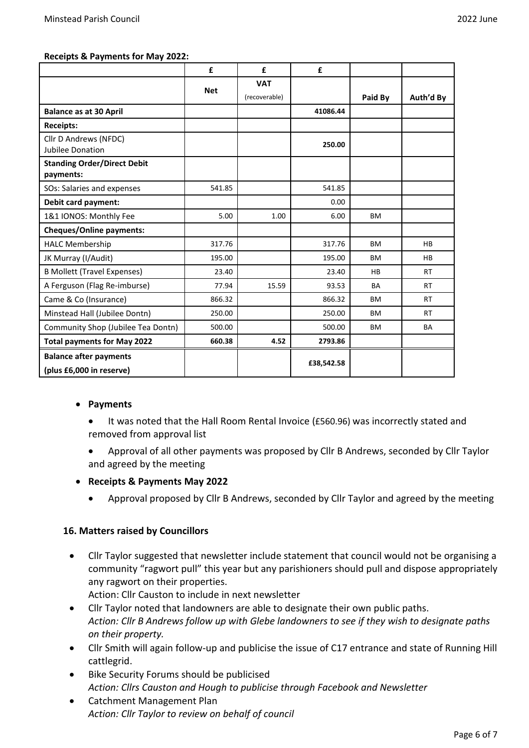|                                                 | £          | £             | £          |           |           |
|-------------------------------------------------|------------|---------------|------------|-----------|-----------|
|                                                 | <b>Net</b> | <b>VAT</b>    |            |           |           |
|                                                 |            | (recoverable) |            | Paid By   | Auth'd By |
| <b>Balance as at 30 April</b>                   |            |               | 41086.44   |           |           |
| <b>Receipts:</b>                                |            |               |            |           |           |
| Cllr D Andrews (NFDC)<br>Jubilee Donation       |            |               | 250.00     |           |           |
| <b>Standing Order/Direct Debit</b><br>payments: |            |               |            |           |           |
| SOs: Salaries and expenses                      | 541.85     |               | 541.85     |           |           |
| <b>Debit card payment:</b>                      |            |               | 0.00       |           |           |
| 1&1 IONOS: Monthly Fee                          | 5.00       | 1.00          | 6.00       | BM        |           |
| <b>Cheques/Online payments:</b>                 |            |               |            |           |           |
| <b>HALC Membership</b>                          | 317.76     |               | 317.76     | ВM        | <b>HB</b> |
| JK Murray (I/Audit)                             | 195.00     |               | 195.00     | ВM        | <b>HB</b> |
| <b>B Mollett (Travel Expenses)</b>              | 23.40      |               | 23.40      | <b>HB</b> | <b>RT</b> |
| A Ferguson (Flag Re-imburse)                    | 77.94      | 15.59         | 93.53      | <b>BA</b> | <b>RT</b> |
| Came & Co (Insurance)                           | 866.32     |               | 866.32     | ВM        | <b>RT</b> |
| Minstead Hall (Jubilee Dontn)                   | 250.00     |               | 250.00     | ВM        | RT.       |
| Community Shop (Jubilee Tea Dontn)              | 500.00     |               | 500.00     | BM        | <b>BA</b> |
| <b>Total payments for May 2022</b>              | 660.38     | 4.52          | 2793.86    |           |           |
| <b>Balance after payments</b>                   |            |               | £38,542.58 |           |           |
| (plus £6,000 in reserve)                        |            |               |            |           |           |

#### • **Payments**

- It was noted that the Hall Room Rental Invoice (£560.96) was incorrectly stated and removed from approval list
- Approval of all other payments was proposed by Cllr B Andrews, seconded by Cllr Taylor and agreed by the meeting

### • **Receipts & Payments May 2022**

• Approval proposed by Cllr B Andrews, seconded by Cllr Taylor and agreed by the meeting

### **16. Matters raised by Councillors**

- Cllr Taylor suggested that newsletter include statement that council would not be organising a community "ragwort pull" this year but any parishioners should pull and dispose appropriately any ragwort on their properties.
	- Action: Cllr Causton to include in next newsletter
- Cllr Taylor noted that landowners are able to designate their own public paths. *Action: Cllr B Andrews follow up with Glebe landowners to see if they wish to designate paths on their property.*
- Cllr Smith will again follow-up and publicise the issue of C17 entrance and state of Running Hill cattlegrid.
- Bike Security Forums should be publicised *Action: Cllrs Causton and Hough to publicise through Facebook and Newsletter*
- Catchment Management Plan *Action: Cllr Taylor to review on behalf of council*